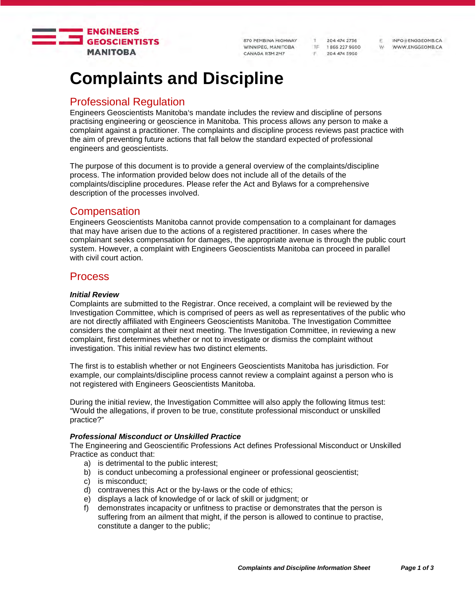

870 PEMBINA HIGHWAY WINNIPEG, MANITOBA CANADA R3M 2M7

T 204 474 2736 TF 1866 227 9600 F 204 474 5960

INFO@ENGGEOMB.CA W WWW.ENGGEOMB.CA

F.

# **Complaints and Discipline**

## Professional Regulation

Engineers Geoscientists Manitoba's mandate includes the review and discipline of persons practising engineering or geoscience in Manitoba. This process allows any person to make a complaint against a practitioner. The complaints and discipline process reviews past practice with the aim of preventing future actions that fall below the standard expected of professional engineers and geoscientists.

The purpose of this document is to provide a general overview of the complaints/discipline process. The information provided below does not include all of the details of the complaints/discipline procedures. Please refer the Act and Bylaws for a comprehensive description of the processes involved.

# **Compensation**

Engineers Geoscientists Manitoba cannot provide compensation to a complainant for damages that may have arisen due to the actions of a registered practitioner. In cases where the complainant seeks compensation for damages, the appropriate avenue is through the public court system. However, a complaint with Engineers Geoscientists Manitoba can proceed in parallel with civil court action.

# Process

## *Initial Review*

Complaints are submitted to the Registrar. Once received, a complaint will be reviewed by the Investigation Committee, which is comprised of peers as well as representatives of the public who are not directly affiliated with Engineers Geoscientists Manitoba. The Investigation Committee considers the complaint at their next meeting. The Investigation Committee, in reviewing a new complaint, first determines whether or not to investigate or dismiss the complaint without investigation. This initial review has two distinct elements.

The first is to establish whether or not Engineers Geoscientists Manitoba has jurisdiction. For example, our complaints/discipline process cannot review a complaint against a person who is not registered with Engineers Geoscientists Manitoba.

During the initial review, the Investigation Committee will also apply the following litmus test: "Would the allegations, if proven to be true, constitute professional misconduct or unskilled practice?"

## *Professional Misconduct or Unskilled Practice*

The Engineering and Geoscientific Professions Act defines Professional Misconduct or Unskilled Practice as conduct that:

- a) is detrimental to the public interest;
- b) is conduct unbecoming a professional engineer or professional geoscientist;
- c) is misconduct;
- d) contravenes this Act or the by-laws or the code of ethics;
- e) displays a lack of knowledge of or lack of skill or judgment; or
- f) demonstrates incapacity or unfitness to practise or demonstrates that the person is suffering from an ailment that might, if the person is allowed to continue to practise, constitute a danger to the public;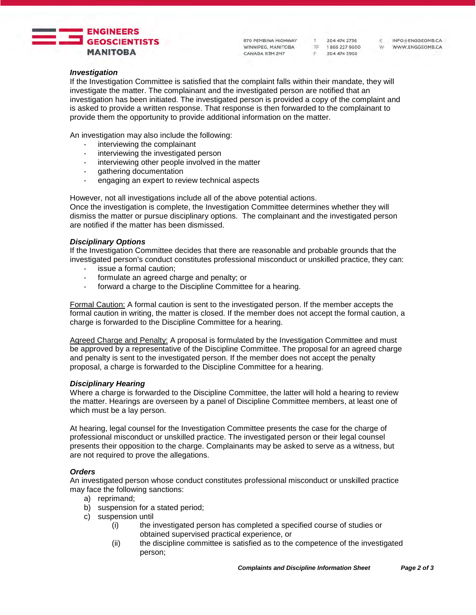

870 PEMBINA HIGHWAY WINNIPEG, MANITOBA 7F 1866 227 9600<br>CANADA R3M 2M7 F 204 474 5960

T 204 474 2736

INFO@ENGGEOMB.CA WWW.ENGGEOMB.CA W

F.

#### *Investigation*

If the Investigation Committee is satisfied that the complaint falls within their mandate, they will investigate the matter. The complainant and the investigated person are notified that an investigation has been initiated. The investigated person is provided a copy of the complaint and is asked to provide a written response. That response is then forwarded to the complainant to provide them the opportunity to provide additional information on the matter.

An investigation may also include the following:

- interviewing the complainant<br>- interviewing the investigated
- interviewing the investigated person
- interviewing other people involved in the matter
- gathering documentation
- engaging an expert to review technical aspects

However, not all investigations include all of the above potential actions.

Once the investigation is complete, the Investigation Committee determines whether they will dismiss the matter or pursue disciplinary options. The complainant and the investigated person are notified if the matter has been dismissed.

#### *Disciplinary Options*

If the Investigation Committee decides that there are reasonable and probable grounds that the investigated person's conduct constitutes professional misconduct or unskilled practice, they can:

- issue a formal caution;
- formulate an agreed charge and penalty; or
- forward a charge to the Discipline Committee for a hearing.

Formal Caution: A formal caution is sent to the investigated person. If the member accepts the formal caution in writing, the matter is closed. If the member does not accept the formal caution, a charge is forwarded to the Discipline Committee for a hearing.

Agreed Charge and Penalty: A proposal is formulated by the Investigation Committee and must be approved by a representative of the Discipline Committee. The proposal for an agreed charge and penalty is sent to the investigated person. If the member does not accept the penalty proposal, a charge is forwarded to the Discipline Committee for a hearing.

#### *Disciplinary Hearing*

Where a charge is forwarded to the Discipline Committee, the latter will hold a hearing to review the matter. Hearings are overseen by a panel of Discipline Committee members, at least one of which must be a lay person.

At hearing, legal counsel for the Investigation Committee presents the case for the charge of professional misconduct or unskilled practice. The investigated person or their legal counsel presents their opposition to the charge. Complainants may be asked to serve as a witness, but are not required to prove the allegations.

#### *Orders*

An investigated person whose conduct constitutes professional misconduct or unskilled practice may face the following sanctions:

- a) reprimand;
- b) suspension for a stated period;
- c) suspension until
	- (i) the investigated person has completed a specified course of studies or obtained supervised practical experience, or
	- (ii) the discipline committee is satisfied as to the competence of the investigated person;